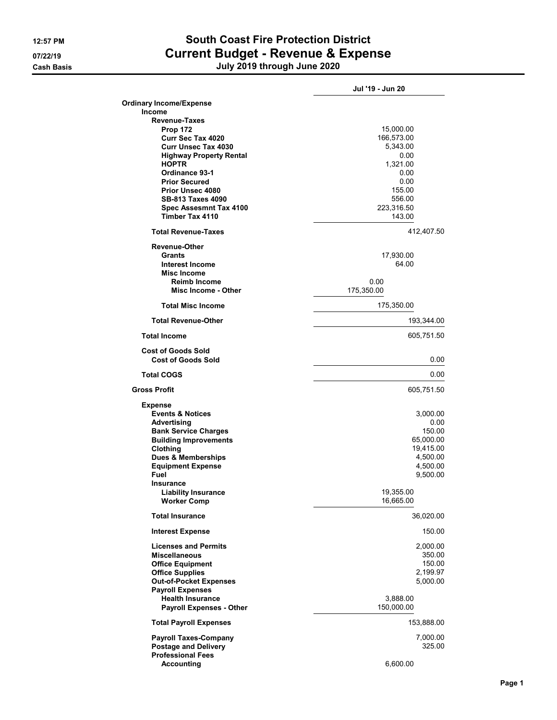## 12:57 PM South Coast Fire Protection District 07/22/19 Current Budget - Revenue & Expense Cash Basis July 2019 through June 2020

|                                                        | Jul '19 - Jun 20 |
|--------------------------------------------------------|------------------|
| <b>Ordinary Income/Expense</b>                         |                  |
| <b>Income</b>                                          |                  |
| <b>Revenue-Taxes</b>                                   |                  |
| <b>Prop 172</b><br><b>Curr Sec Tax 4020</b>            | 15,000.00        |
| <b>Curr Unsec Tax 4030</b>                             | 166,573.00       |
|                                                        | 5,343.00         |
| <b>Highway Property Rental</b>                         | 0.00             |
| <b>HOPTR</b>                                           | 1,321.00         |
| Ordinance 93-1                                         | 0.00             |
| <b>Prior Secured</b>                                   | 0.00             |
| <b>Prior Unsec 4080</b>                                | 155.00           |
| <b>SB-813 Taxes 4090</b>                               | 556.00           |
| Spec Assesmnt Tax 4100                                 | 223,316.50       |
| Timber Tax 4110                                        | 143.00           |
| <b>Total Revenue-Taxes</b>                             | 412,407.50       |
| <b>Revenue-Other</b>                                   |                  |
| Grants                                                 | 17,930.00        |
| Interest Income                                        | 64.00            |
| <b>Misc Income</b>                                     |                  |
| <b>Reimb Income</b>                                    | 0.00             |
| Misc Income - Other                                    | 175,350.00       |
| <b>Total Misc Income</b>                               | 175,350.00       |
|                                                        |                  |
| <b>Total Revenue-Other</b>                             | 193,344.00       |
| <b>Total Income</b>                                    | 605,751.50       |
| <b>Cost of Goods Sold</b><br><b>Cost of Goods Sold</b> | 0.00             |
| <b>Total COGS</b>                                      |                  |
|                                                        | 0.00             |
| <b>Gross Profit</b>                                    | 605,751.50       |
| <b>Expense</b>                                         |                  |
| <b>Events &amp; Notices</b>                            | 3,000.00         |
| Advertising                                            | 0.00             |
| <b>Bank Service Charges</b>                            | 150.00           |
| <b>Building Improvements</b>                           | 65,000.00        |
| Clothing                                               | 19,415.00        |
| <b>Dues &amp; Memberships</b>                          | 4,500.00         |
| <b>Equipment Expense</b>                               | 4,500.00         |
| Fuel                                                   | 9,500.00         |
| Insurance                                              |                  |
| <b>Liability Insurance</b>                             | 19,355.00        |
| <b>Worker Comp</b>                                     | 16,665.00        |
| <b>Total Insurance</b>                                 | 36,020.00        |
| <b>Interest Expense</b>                                | 150.00           |
| <b>Licenses and Permits</b>                            |                  |
|                                                        | 2,000.00         |
| <b>Miscellaneous</b>                                   | 350.00           |
| <b>Office Equipment</b>                                | 150.00           |
| <b>Office Supplies</b>                                 | 2,199.97         |
| <b>Out-of-Pocket Expenses</b>                          | 5,000.00         |
| <b>Payroll Expenses</b>                                |                  |
| <b>Health Insurance</b>                                | 3,888.00         |
| <b>Payroll Expenses - Other</b>                        | 150,000.00       |
| <b>Total Payroll Expenses</b>                          | 153,888.00       |
| <b>Payroll Taxes-Company</b>                           | 7,000.00         |
| <b>Postage and Delivery</b>                            | 325.00           |
| <b>Professional Fees</b>                               |                  |
| <b>Accounting</b>                                      | 6,600.00         |
|                                                        |                  |